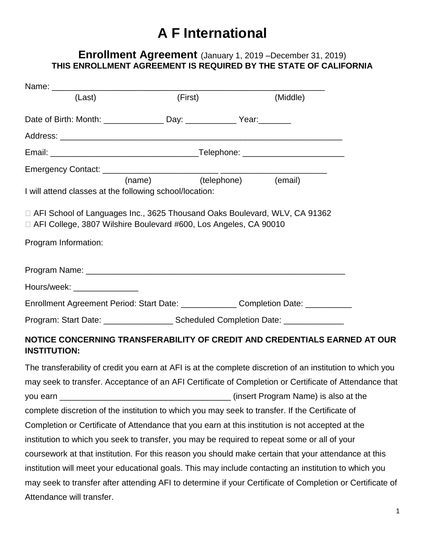#### **Enrollment Agreement** (January 1, 2019 –December 31, 2019) **THIS ENROLLMENT AGREEMENT IS REQUIRED BY THE STATE OF CALIFORNIA**

| (Last)                                                                                                                                            | (First)                    | (Middle) |  |
|---------------------------------------------------------------------------------------------------------------------------------------------------|----------------------------|----------|--|
| Date of Birth: Month: ___________________ Day: ________________ Year: __________                                                                  |                            |          |  |
|                                                                                                                                                   |                            |          |  |
|                                                                                                                                                   |                            |          |  |
|                                                                                                                                                   |                            |          |  |
| I will attend classes at the following school/location:                                                                                           | (name) (telephone) (email) |          |  |
| □ AFI School of Languages Inc., 3625 Thousand Oaks Boulevard, WLV, CA 91362<br>□ AFI College, 3807 Wilshire Boulevard #600, Los Angeles, CA 90010 |                            |          |  |
| Program Information:                                                                                                                              |                            |          |  |
|                                                                                                                                                   |                            |          |  |
| Hours/week: ________________                                                                                                                      |                            |          |  |
| Enrollment Agreement Period: Start Date: _______________Completion Date: ___________                                                              |                            |          |  |
| Program: Start Date: ________________________ Scheduled Completion Date: ______________                                                           |                            |          |  |
| NOTICE CONCERNING TRANSFERABILITY OF CREDIT AND CREDENTIALS EARNED AT OUR<br><b>INSTITUTION:</b>                                                  |                            |          |  |
| The transferability of credit you earn at AFI is at the complete discretion of an institution to which you                                        |                            |          |  |
| may seek to transfer. Acceptance of an AFI Certificate of Completion or Certificate of Attendance that                                            |                            |          |  |
|                                                                                                                                                   |                            |          |  |
| complete discretion of the institution to which you may seek to transfer. If the Certificate of                                                   |                            |          |  |
| Completion or Certificate of Attendance that you earn at this institution is not accepted at the                                                  |                            |          |  |
| institution to which you seek to transfer, you may be required to repeat some or all of your                                                      |                            |          |  |
| coursework at that institution. For this reason you should make certain that your attendance at this                                              |                            |          |  |
| institution will meet your educational goals. This may include contacting an institution to which you                                             |                            |          |  |
| may seek to transfer after attending AFI to determine if your Certificate of Completion or Certificate of                                         |                            |          |  |
| Attendance will transfer.                                                                                                                         |                            |          |  |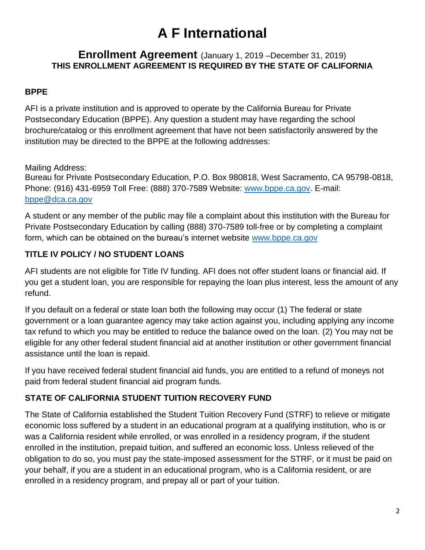#### **Enrollment Agreement** (January 1, 2019 –December 31, 2019) **THIS ENROLLMENT AGREEMENT IS REQUIRED BY THE STATE OF CALIFORNIA**

#### **BPPE**

AFI is a private institution and is approved to operate by the California Bureau for Private Postsecondary Education (BPPE). Any question a student may have regarding the school brochure/catalog or this enrollment agreement that have not been satisfactorily answered by the institution may be directed to the BPPE at the following addresses:

#### Mailing Address:

Bureau for Private Postsecondary Education, P.O. Box 980818, West Sacramento, CA 95798-0818, Phone: (916) 431-6959 Toll Free: (888) 370-7589 Website: [www.bppe.ca.gov.](http://www.bppe.ca.gov/) E-mail: [bppe@dca.ca.gov](mailto:bppe@dca.ca.gov)

A student or any member of the public may file a complaint about this institution with the Bureau for Private Postsecondary Education by calling (888) 370-7589 toll-free or by completing a complaint form, which can be obtained on the bureau's internet website [www.bppe.ca.gov](http://www.bppe.ca.gov/)

#### **TITLE IV POLICY / NO STUDENT LOANS**

AFI students are not eligible for Title IV funding. AFI does not offer student loans or financial aid. If you get a student loan, you are responsible for repaying the loan plus interest, less the amount of any refund.

If you default on a federal or state loan both the following may occur (1) The federal or state government or a loan guarantee agency may take action against you, including applying any income tax refund to which you may be entitled to reduce the balance owed on the loan. (2) You may not be eligible for any other federal student financial aid at another institution or other government financial assistance until the loan is repaid.

If you have received federal student financial aid funds, you are entitled to a refund of moneys not paid from federal student financial aid program funds.

### **STATE OF CALIFORNIA STUDENT TUITION RECOVERY FUND**

The State of California established the Student Tuition Recovery Fund (STRF) to relieve or mitigate economic loss suffered by a student in an educational program at a qualifying institution, who is or was a California resident while enrolled, or was enrolled in a residency program, if the student enrolled in the institution, prepaid tuition, and suffered an economic loss. Unless relieved of the obligation to do so, you must pay the state-imposed assessment for the STRF, or it must be paid on your behalf, if you are a student in an educational program, who is a California resident, or are enrolled in a residency program, and prepay all or part of your tuition.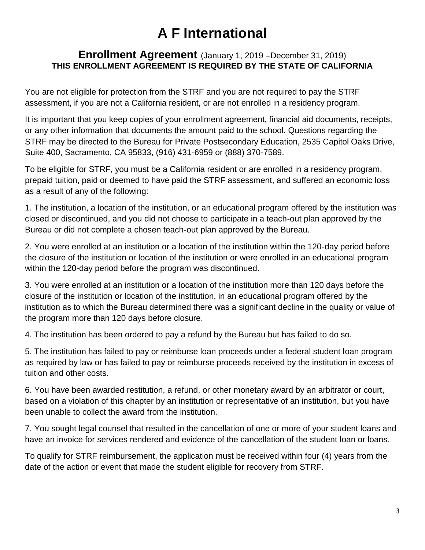#### **Enrollment Agreement** (January 1, 2019 –December 31, 2019) **THIS ENROLLMENT AGREEMENT IS REQUIRED BY THE STATE OF CALIFORNIA**

You are not eligible for protection from the STRF and you are not required to pay the STRF assessment, if you are not a California resident, or are not enrolled in a residency program.

It is important that you keep copies of your enrollment agreement, financial aid documents, receipts, or any other information that documents the amount paid to the school. Questions regarding the STRF may be directed to the Bureau for Private Postsecondary Education, 2535 Capitol Oaks Drive, Suite 400, Sacramento, CA 95833, (916) 431-6959 or (888) 370-7589.

To be eligible for STRF, you must be a California resident or are enrolled in a residency program, prepaid tuition, paid or deemed to have paid the STRF assessment, and suffered an economic loss as a result of any of the following:

1. The institution, a location of the institution, or an educational program offered by the institution was closed or discontinued, and you did not choose to participate in a teach-out plan approved by the Bureau or did not complete a chosen teach-out plan approved by the Bureau.

2. You were enrolled at an institution or a location of the institution within the 120-day period before the closure of the institution or location of the institution or were enrolled in an educational program within the 120-day period before the program was discontinued.

3. You were enrolled at an institution or a location of the institution more than 120 days before the closure of the institution or location of the institution, in an educational program offered by the institution as to which the Bureau determined there was a significant decline in the quality or value of the program more than 120 days before closure.

4. The institution has been ordered to pay a refund by the Bureau but has failed to do so.

5. The institution has failed to pay or reimburse loan proceeds under a federal student loan program as required by law or has failed to pay or reimburse proceeds received by the institution in excess of tuition and other costs.

6. You have been awarded restitution, a refund, or other monetary award by an arbitrator or court, based on a violation of this chapter by an institution or representative of an institution, but you have been unable to collect the award from the institution.

7. You sought legal counsel that resulted in the cancellation of one or more of your student loans and have an invoice for services rendered and evidence of the cancellation of the student loan or loans.

To qualify for STRF reimbursement, the application must be received within four (4) years from the date of the action or event that made the student eligible for recovery from STRF.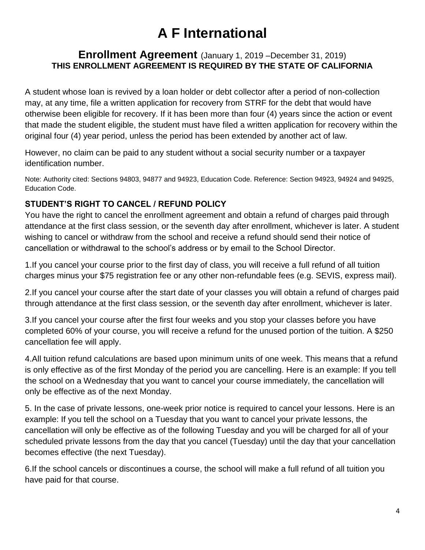#### **Enrollment Agreement** (January 1, 2019 –December 31, 2019) **THIS ENROLLMENT AGREEMENT IS REQUIRED BY THE STATE OF CALIFORNIA**

A student whose loan is revived by a loan holder or debt collector after a period of non-collection may, at any time, file a written application for recovery from STRF for the debt that would have otherwise been eligible for recovery. If it has been more than four (4) years since the action or event that made the student eligible, the student must have filed a written application for recovery within the original four (4) year period, unless the period has been extended by another act of law.

However, no claim can be paid to any student without a social security number or a taxpayer identification number.

Note: Authority cited: Sections 94803, 94877 and 94923, Education Code. Reference: Section 94923, 94924 and 94925, Education Code.

#### **STUDENT'S RIGHT TO CANCEL / REFUND POLICY**

You have the right to cancel the enrollment agreement and obtain a refund of charges paid through attendance at the first class session, or the seventh day after enrollment, whichever is later. A student wishing to cancel or withdraw from the school and receive a refund should send their notice of cancellation or withdrawal to the school's address or by email to the School Director.

1.If you cancel your course prior to the first day of class, you will receive a full refund of all tuition charges minus your \$75 registration fee or any other non-refundable fees (e.g. SEVIS, express mail).

2.If you cancel your course after the start date of your classes you will obtain a refund of charges paid through attendance at the first class session, or the seventh day after enrollment, whichever is later.

3.If you cancel your course after the first four weeks and you stop your classes before you have completed 60% of your course, you will receive a refund for the unused portion of the tuition. A \$250 cancellation fee will apply.

4.All tuition refund calculations are based upon minimum units of one week. This means that a refund is only effective as of the first Monday of the period you are cancelling. Here is an example: If you tell the school on a Wednesday that you want to cancel your course immediately, the cancellation will only be effective as of the next Monday.

5. In the case of private lessons, one-week prior notice is required to cancel your lessons. Here is an example: If you tell the school on a Tuesday that you want to cancel your private lessons, the cancellation will only be effective as of the following Tuesday and you will be charged for all of your scheduled private lessons from the day that you cancel (Tuesday) until the day that your cancellation becomes effective (the next Tuesday).

6.If the school cancels or discontinues a course, the school will make a full refund of all tuition you have paid for that course.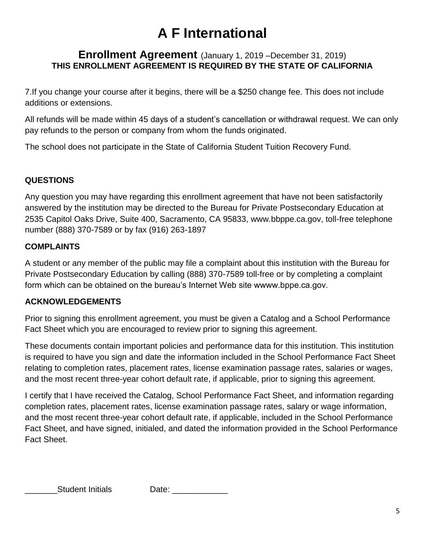#### **Enrollment Agreement** (January 1, 2019 –December 31, 2019) **THIS ENROLLMENT AGREEMENT IS REQUIRED BY THE STATE OF CALIFORNIA**

7.If you change your course after it begins, there will be a \$250 change fee. This does not include additions or extensions.

All refunds will be made within 45 days of a student's cancellation or withdrawal request. We can only pay refunds to the person or company from whom the funds originated.

The school does not participate in the State of California Student Tuition Recovery Fund.

#### **QUESTIONS**

Any question you may have regarding this enrollment agreement that have not been satisfactorily answered by the institution may be directed to the Bureau for Private Postsecondary Education at 2535 Capitol Oaks Drive, Suite 400, Sacramento, CA 95833, www.bbppe.ca.gov, toll-free telephone number (888) 370-7589 or by fax (916) 263-1897

#### **COMPLAINTS**

A student or any member of the public may file a complaint about this institution with the Bureau for Private Postsecondary Education by calling (888) 370-7589 toll-free or by completing a complaint form which can be obtained on the bureau's Internet Web site wwww.bppe.ca.gov.

#### **ACKNOWLEDGEMENTS**

Prior to signing this enrollment agreement, you must be given a Catalog and a School Performance Fact Sheet which you are encouraged to review prior to signing this agreement.

These documents contain important policies and performance data for this institution. This institution is required to have you sign and date the information included in the School Performance Fact Sheet relating to completion rates, placement rates, license examination passage rates, salaries or wages, and the most recent three-year cohort default rate, if applicable, prior to signing this agreement.

I certify that I have received the Catalog, School Performance Fact Sheet, and information regarding completion rates, placement rates, license examination passage rates, salary or wage information, and the most recent three-year cohort default rate, if applicable, included in the School Performance Fact Sheet, and have signed, initialed, and dated the information provided in the School Performance Fact Sheet.